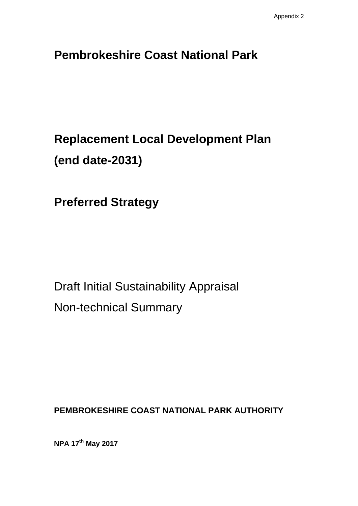# **Pembrokeshire Coast National Park**

# **Replacement Local Development Plan (end date-2031)**

**Preferred Strategy**

Draft Initial Sustainability Appraisal Non-technical Summary

**PEMBROKESHIRE COAST NATIONAL PARK AUTHORITY** 

**NPA 17th May 2017**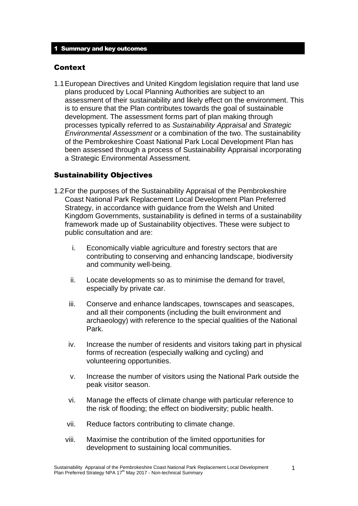#### Context

1.1European Directives and United Kingdom legislation require that land use plans produced by Local Planning Authorities are subject to an assessment of their sustainability and likely effect on the environment. This is to ensure that the Plan contributes towards the goal of sustainable development. The assessment forms part of plan making through processes typically referred to as *Sustainability Appraisal* and *Strategic Environmental Assessment* or a combination of the two. The sustainability of the Pembrokeshire Coast National Park Local Development Plan has been assessed through a process of Sustainability Appraisal incorporating a Strategic Environmental Assessment.

#### Sustainability Objectives

- 1.2For the purposes of the Sustainability Appraisal of the Pembrokeshire Coast National Park Replacement Local Development Plan Preferred Strategy, in accordance with guidance from the Welsh and United Kingdom Governments, sustainability is defined in terms of a sustainability framework made up of Sustainability objectives. These were subject to public consultation and are:
	- i. Economically viable agriculture and forestry sectors that are contributing to conserving and enhancing landscape, biodiversity and community well-being.
	- ii. Locate developments so as to minimise the demand for travel, especially by private car.
	- iii. Conserve and enhance landscapes, townscapes and seascapes, and all their components (including the built environment and archaeology) with reference to the special qualities of the National Park.
	- iv. Increase the number of residents and visitors taking part in physical forms of recreation (especially walking and cycling) and volunteering opportunities.
	- v. Increase the number of visitors using the National Park outside the peak visitor season.
	- vi. Manage the effects of climate change with particular reference to the risk of flooding; the effect on biodiversity; public health.
	- vii. Reduce factors contributing to climate change.
	- viii. Maximise the contribution of the limited opportunities for development to sustaining local communities.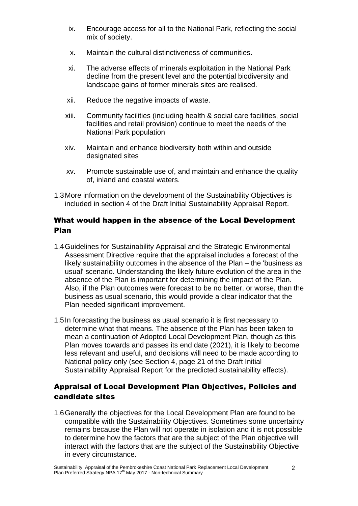- ix. Encourage access for all to the National Park, reflecting the social mix of society.
- x. Maintain the cultural distinctiveness of communities.
- xi. The adverse effects of minerals exploitation in the National Park decline from the present level and the potential biodiversity and landscape gains of former minerals sites are realised.
- xii. Reduce the negative impacts of waste.
- xiii. Community facilities (including health & social care facilities, social facilities and retail provision) continue to meet the needs of the National Park population
- xiv. Maintain and enhance biodiversity both within and outside designated sites
- xv. Promote sustainable use of, and maintain and enhance the quality of, inland and coastal waters.
- 1.3More information on the development of the Sustainability Objectives is included in section 4 of the Draft Initial Sustainability Appraisal Report.

### What would happen in the absence of the Local Development Plan

- 1.4Guidelines for Sustainability Appraisal and the Strategic Environmental Assessment Directive require that the appraisal includes a forecast of the likely sustainability outcomes in the absence of the Plan – the 'business as usual' scenario. Understanding the likely future evolution of the area in the absence of the Plan is important for determining the impact of the Plan. Also, if the Plan outcomes were forecast to be no better, or worse, than the business as usual scenario, this would provide a clear indicator that the Plan needed significant improvement.
- 1.5In forecasting the business as usual scenario it is first necessary to determine what that means. The absence of the Plan has been taken to mean a continuation of Adopted Local Development Plan, though as this Plan moves towards and passes its end date (2021), it is likely to become less relevant and useful, and decisions will need to be made according to National policy only (see Section 4, page 21 of the Draft Initial Sustainability Appraisal Report for the predicted sustainability effects).

## Appraisal of Local Development Plan Objectives, Policies and candidate sites

1.6Generally the objectives for the Local Development Plan are found to be compatible with the Sustainability Objectives. Sometimes some uncertainty remains because the Plan will not operate in isolation and it is not possible to determine how the factors that are the subject of the Plan objective will interact with the factors that are the subject of the Sustainability Objective in every circumstance.